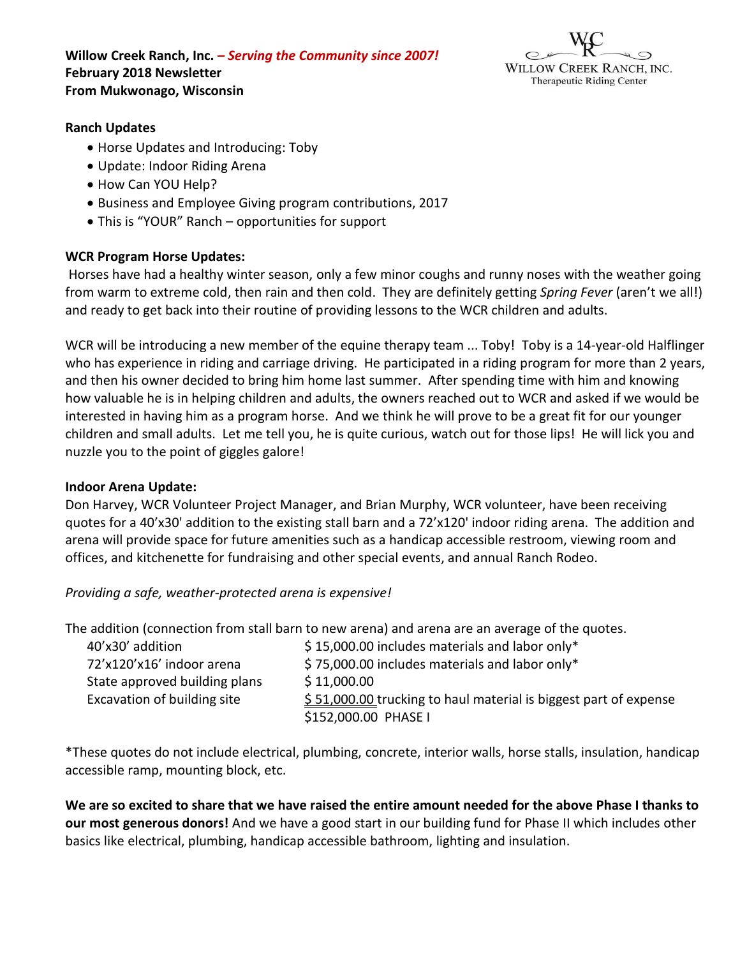**Willow Creek Ranch, Inc.** *– Serving the Community since 2007!* **February 2018 Newsletter From Mukwonago, Wisconsin**



## **Ranch Updates**

- Horse Updates and Introducing: Toby
- Update: Indoor Riding Arena
- How Can YOU Help?
- Business and Employee Giving program contributions, 2017
- This is "YOUR" Ranch opportunities for support

## **WCR Program Horse Updates:**

Horses have had a healthy winter season, only a few minor coughs and runny noses with the weather going from warm to extreme cold, then rain and then cold. They are definitely getting *Spring Fever* (aren't we all!) and ready to get back into their routine of providing lessons to the WCR children and adults.

WCR will be introducing a new member of the equine therapy team ... Toby! Toby is a 14-year-old Halflinger who has experience in riding and carriage driving. He participated in a riding program for more than 2 years, and then his owner decided to bring him home last summer. After spending time with him and knowing how valuable he is in helping children and adults, the owners reached out to WCR and asked if we would be interested in having him as a program horse. And we think he will prove to be a great fit for our younger children and small adults. Let me tell you, he is quite curious, watch out for those lips! He will lick you and nuzzle you to the point of giggles galore!

### **Indoor Arena Update:**

Don Harvey, WCR Volunteer Project Manager, and Brian Murphy, WCR volunteer, have been receiving quotes for a 40'x30' addition to the existing stall barn and a 72'x120' indoor riding arena. The addition and arena will provide space for future amenities such as a handicap accessible restroom, viewing room and offices, and kitchenette for fundraising and other special events, and annual Ranch Rodeo.

*Providing a safe, weather-protected arena is expensive!*

The addition (connection from stall barn to new arena) and arena are an average of the quotes.

| 40'x30' addition              | \$15,000.00 includes materials and labor only*                   |
|-------------------------------|------------------------------------------------------------------|
| 72'x120'x16' indoor arena     | $$75,000.00$ includes materials and labor only*                  |
| State approved building plans | \$11,000.00                                                      |
| Excavation of building site   | \$51,000.00 trucking to haul material is biggest part of expense |
|                               | \$152,000.00 PHASE I                                             |
|                               |                                                                  |

\*These quotes do not include electrical, plumbing, concrete, interior walls, horse stalls, insulation, handicap accessible ramp, mounting block, etc.

**We are so excited to share that we have raised the entire amount needed for the above Phase I thanks to our most generous donors!** And we have a good start in our building fund for Phase II which includes other basics like electrical, plumbing, handicap accessible bathroom, lighting and insulation.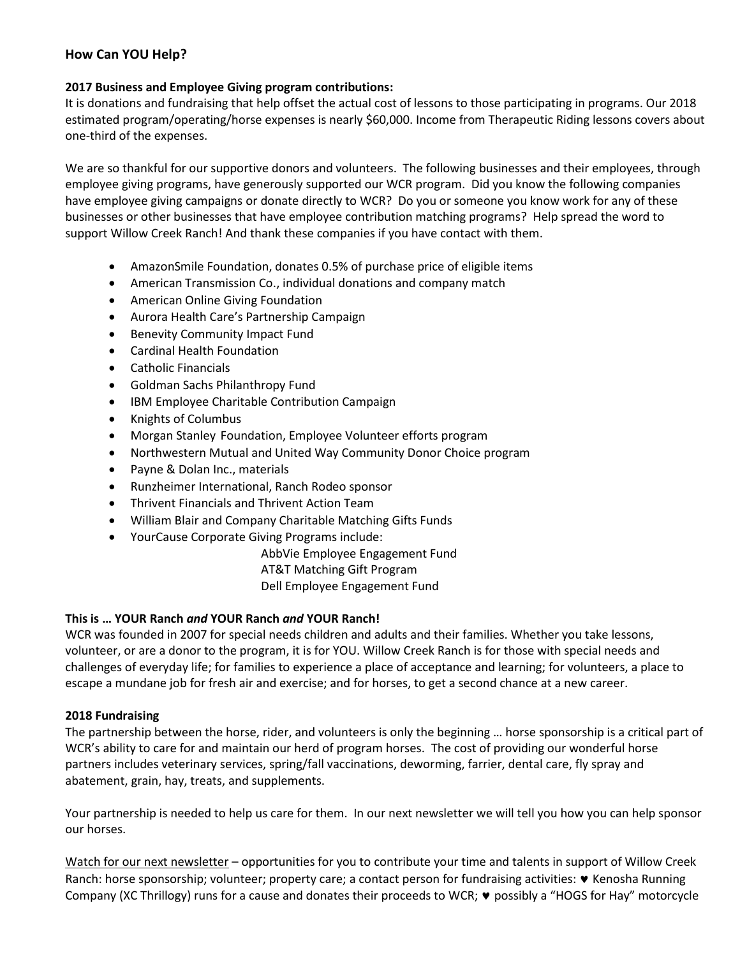# **How Can YOU Help?**

## **2017 Business and Employee Giving program contributions:**

It is donations and fundraising that help offset the actual cost of lessons to those participating in programs. Our 2018 estimated program/operating/horse expenses is nearly \$60,000. Income from Therapeutic Riding lessons covers about one-third of the expenses.

We are so thankful for our supportive donors and volunteers. The following businesses and their employees, through employee giving programs, have generously supported our WCR program. Did you know the following companies have employee giving campaigns or donate directly to WCR? Do you or someone you know work for any of these businesses or other businesses that have employee contribution matching programs? Help spread the word to support Willow Creek Ranch! And thank these companies if you have contact with them.

- AmazonSmile Foundation, donates 0.5% of purchase price of eligible items
- American Transmission Co., individual donations and company match
- American Online Giving Foundation
- Aurora Health Care's Partnership Campaign
- Benevity Community Impact Fund
- Cardinal Health Foundation
- Catholic Financials
- Goldman Sachs Philanthropy Fund
- IBM Employee Charitable Contribution Campaign
- Knights of Columbus
- Morgan Stanley Foundation, Employee Volunteer efforts program
- Northwestern Mutual and United Way Community Donor Choice program
- Payne & Dolan Inc., materials
- Runzheimer International, Ranch Rodeo sponsor
- Thrivent Financials and Thrivent Action Team
- William Blair and Company Charitable Matching Gifts Funds
- YourCause Corporate Giving Programs include:

AbbVie Employee Engagement Fund

AT&T Matching Gift Program

Dell Employee Engagement Fund

### **This is … YOUR Ranch** *and* **YOUR Ranch** *and* **YOUR Ranch!**

WCR was founded in 2007 for special needs children and adults and their families. Whether you take lessons, volunteer, or are a donor to the program, it is for YOU. Willow Creek Ranch is for those with special needs and challenges of everyday life; for families to experience a place of acceptance and learning; for volunteers, a place to escape a mundane job for fresh air and exercise; and for horses, to get a second chance at a new career.

### **2018 Fundraising**

The partnership between the horse, rider, and volunteers is only the beginning … horse sponsorship is a critical part of WCR's ability to care for and maintain our herd of program horses. The cost of providing our wonderful horse partners includes veterinary services, spring/fall vaccinations, deworming, farrier, dental care, fly spray and abatement, grain, hay, treats, and supplements.

Your partnership is needed to help us care for them. In our next newsletter we will tell you how you can help sponsor our horses.

Watch for our next newsletter – opportunities for you to contribute your time and talents in support of Willow Creek Ranch: horse sponsorship; volunteer; property care; a contact person for fundraising activities: • Kenosha Running Company (XC Thrillogy) runs for a cause and donates their proceeds to WCR;  $\vee$  possibly a "HOGS for Hay" motorcycle